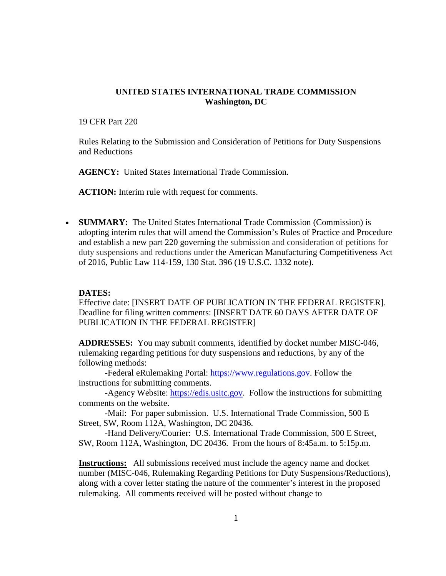# **UNITED STATES INTERNATIONAL TRADE COMMISSION Washington, DC**

19 CFR Part 220

Rules Relating to the Submission and Consideration of Petitions for Duty Suspensions and Reductions

**AGENCY:** United States International Trade Commission.

**ACTION:** Interim rule with request for comments.

• **SUMMARY:** The United States International Trade Commission (Commission) is adopting interim rules that will amend the Commission's Rules of Practice and Procedure and establish a new part 220 governing the submission and consideration of petitions for duty suspensions and reductions under the American Manufacturing Competitiveness Act of 2016, Public Law 114-159, 130 Stat. 396 (19 U.S.C. 1332 note).

# **DATES:**

Effective date: [INSERT DATE OF PUBLICATION IN THE FEDERAL REGISTER]. Deadline for filing written comments: [INSERT DATE 60 DAYS AFTER DATE OF PUBLICATION IN THE FEDERAL REGISTER]

**ADDRESSES:** You may submit comments, identified by docket number MISC-046, rulemaking regarding petitions for duty suspensions and reductions, by any of the following methods:

-Federal eRulemaking Portal: [https://www.regulations.gov.](https://www.regulations.gov/) Follow the instructions for submitting comments.

-Agency Website: [https://edis.usitc.gov.](https://edis.usitc.gov/) Follow the instructions for submitting comments on the website.

-Mail: For paper submission. U.S. International Trade Commission, 500 E Street, SW, Room 112A, Washington, DC 20436.

-Hand Delivery/Courier: U.S. International Trade Commission, 500 E Street, SW, Room 112A, Washington, DC 20436. From the hours of 8:45a.m. to 5:15p.m.

**Instructions:** All submissions received must include the agency name and docket number (MISC-046, Rulemaking Regarding Petitions for Duty Suspensions/Reductions), along with a cover letter stating the nature of the commenter's interest in the proposed rulemaking. All comments received will be posted without change to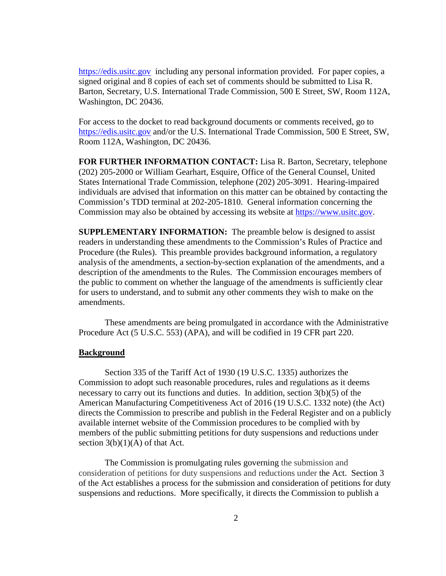[https://edis.usitc.gov](https://edis.usitc.gov/) including any personal information provided. For paper copies, a signed original and 8 copies of each set of comments should be submitted to Lisa R. Barton, Secretary, U.S. International Trade Commission, 500 E Street, SW, Room 112A, Washington, DC 20436.

For access to the docket to read background documents or comments received, go to https://edis.usitc.gov and/or the U.S. International Trade Commission, 500 E Street, SW, Room 112A, Washington, DC 20436.

**FOR FURTHER INFORMATION CONTACT:** Lisa R. Barton, Secretary, telephone (202) 205-2000 or William Gearhart, Esquire, Office of the General Counsel, United States International Trade Commission, telephone (202) 205-3091. Hearing-impaired individuals are advised that information on this matter can be obtained by contacting the Commission's TDD terminal at 202-205-1810. General information concerning the Commission may also be obtained by accessing its website at [https://www.usitc.gov.](https://www.usitc.gov/)

**SUPPLEMENTARY INFORMATION:** The preamble below is designed to assist readers in understanding these amendments to the Commission's Rules of Practice and Procedure (the Rules). This preamble provides background information, a regulatory analysis of the amendments, a section-by-section explanation of the amendments, and a description of the amendments to the Rules. The Commission encourages members of the public to comment on whether the language of the amendments is sufficiently clear for users to understand, and to submit any other comments they wish to make on the amendments.

These amendments are being promulgated in accordance with the Administrative Procedure Act (5 U.S.C. 553) (APA), and will be codified in 19 CFR part 220.

#### **Background**

Section 335 of the Tariff Act of 1930 (19 U.S.C. 1335) authorizes the Commission to adopt such reasonable procedures, rules and regulations as it deems necessary to carry out its functions and duties. In addition, section 3(b)(5) of the American Manufacturing Competitiveness Act of 2016 (19 U.S.C. 1332 note) (the Act) directs the Commission to prescribe and publish in the Federal Register and on a publicly available internet website of the Commission procedures to be complied with by members of the public submitting petitions for duty suspensions and reductions under section  $3(b)(1)(A)$  of that Act.

The Commission is promulgating rules governing the submission and consideration of petitions for duty suspensions and reductions under the Act. Section 3 of the Act establishes a process for the submission and consideration of petitions for duty suspensions and reductions. More specifically, it directs the Commission to publish a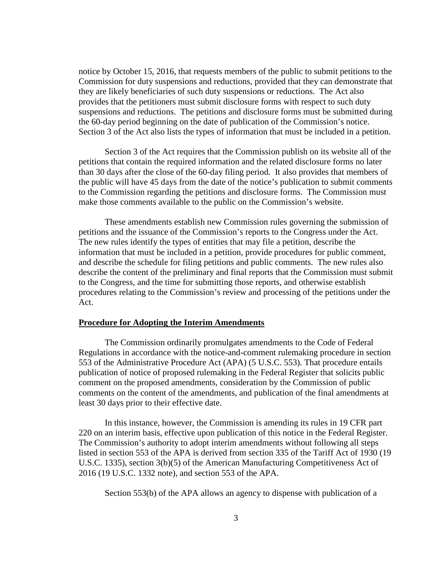notice by October 15, 2016, that requests members of the public to submit petitions to the Commission for duty suspensions and reductions, provided that they can demonstrate that they are likely beneficiaries of such duty suspensions or reductions. The Act also provides that the petitioners must submit disclosure forms with respect to such duty suspensions and reductions. The petitions and disclosure forms must be submitted during the 60-day period beginning on the date of publication of the Commission's notice. Section 3 of the Act also lists the types of information that must be included in a petition.

Section 3 of the Act requires that the Commission publish on its website all of the petitions that contain the required information and the related disclosure forms no later than 30 days after the close of the 60-day filing period. It also provides that members of the public will have 45 days from the date of the notice's publication to submit comments to the Commission regarding the petitions and disclosure forms. The Commission must make those comments available to the public on the Commission's website.

These amendments establish new Commission rules governing the submission of petitions and the issuance of the Commission's reports to the Congress under the Act. The new rules identify the types of entities that may file a petition, describe the information that must be included in a petition, provide procedures for public comment, and describe the schedule for filing petitions and public comments. The new rules also describe the content of the preliminary and final reports that the Commission must submit to the Congress, and the time for submitting those reports, and otherwise establish procedures relating to the Commission's review and processing of the petitions under the Act.

#### **Procedure for Adopting the Interim Amendments**

The Commission ordinarily promulgates amendments to the Code of Federal Regulations in accordance with the notice-and-comment rulemaking procedure in section 553 of the Administrative Procedure Act (APA) (5 U.S.C. 553). That procedure entails publication of notice of proposed rulemaking in the Federal Register that solicits public comment on the proposed amendments, consideration by the Commission of public comments on the content of the amendments, and publication of the final amendments at least 30 days prior to their effective date.

In this instance, however, the Commission is amending its rules in 19 CFR part 220 on an interim basis, effective upon publication of this notice in the Federal Register. The Commission's authority to adopt interim amendments without following all steps listed in section 553 of the APA is derived from section 335 of the Tariff Act of 1930 (19 U.S.C. 1335), section 3(b)(5) of the American Manufacturing Competitiveness Act of 2016 (19 U.S.C. 1332 note), and section 553 of the APA.

Section 553(b) of the APA allows an agency to dispense with publication of a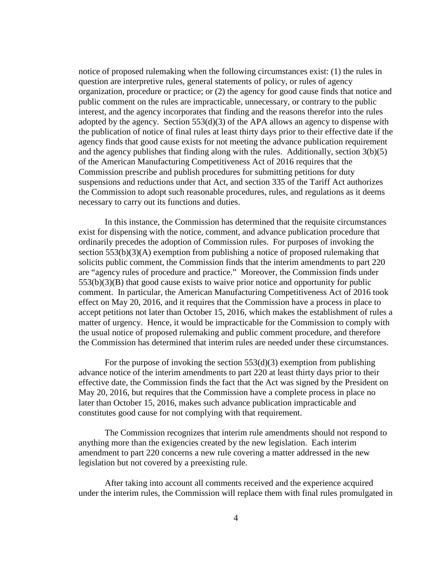notice of proposed rulemaking when the following circumstances exist: (1) the rules in question are interpretive rules, general statements of policy, or rules of agency organization, procedure or practice; or (2) the agency for good cause finds that notice and public comment on the rules are impracticable, unnecessary, or contrary to the public interest, and the agency incorporates that finding and the reasons therefor into the rules adopted by the agency. Section  $553(d)(3)$  of the APA allows an agency to dispense with the publication of notice of final rules at least thirty days prior to their effective date if the agency finds that good cause exists for not meeting the advance publication requirement and the agency publishes that finding along with the rules. Additionally, section 3(b)(5) of the American Manufacturing Competitiveness Act of 2016 requires that the Commission prescribe and publish procedures for submitting petitions for duty suspensions and reductions under that Act, and section 335 of the Tariff Act authorizes the Commission to adopt such reasonable procedures, rules, and regulations as it deems necessary to carry out its functions and duties.

In this instance, the Commission has determined that the requisite circumstances exist for dispensing with the notice, comment, and advance publication procedure that ordinarily precedes the adoption of Commission rules. For purposes of invoking the section 553(b)(3)(A) exemption from publishing a notice of proposed rulemaking that solicits public comment, the Commission finds that the interim amendments to part 220 are "agency rules of procedure and practice." Moreover, the Commission finds under 553(b)(3)(B) that good cause exists to waive prior notice and opportunity for public comment. In particular, the American Manufacturing Competitiveness Act of 2016 took effect on May 20, 2016, and it requires that the Commission have a process in place to accept petitions not later than October 15, 2016, which makes the establishment of rules a matter of urgency. Hence, it would be impracticable for the Commission to comply with the usual notice of proposed rulemaking and public comment procedure, and therefore the Commission has determined that interim rules are needed under these circumstances.

For the purpose of invoking the section  $553(d)(3)$  exemption from publishing advance notice of the interim amendments to part 220 at least thirty days prior to their effective date, the Commission finds the fact that the Act was signed by the President on May 20, 2016, but requires that the Commission have a complete process in place no later than October 15, 2016, makes such advance publication impracticable and constitutes good cause for not complying with that requirement.

The Commission recognizes that interim rule amendments should not respond to anything more than the exigencies created by the new legislation. Each interim amendment to part 220 concerns a new rule covering a matter addressed in the new legislation but not covered by a preexisting rule.

After taking into account all comments received and the experience acquired under the interim rules, the Commission will replace them with final rules promulgated in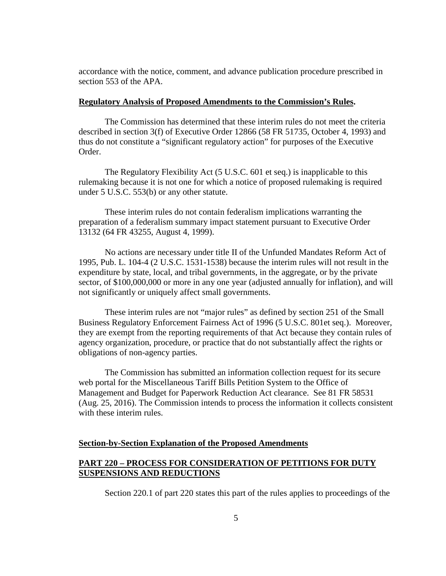accordance with the notice, comment, and advance publication procedure prescribed in section 553 of the APA.

#### **Regulatory Analysis of Proposed Amendments to the Commission's Rules.**

The Commission has determined that these interim rules do not meet the criteria described in section 3(f) of Executive Order 12866 (58 FR 51735, October 4, 1993) and thus do not constitute a "significant regulatory action" for purposes of the Executive Order.

The Regulatory Flexibility Act (5 U.S.C. 601 et seq.) is inapplicable to this rulemaking because it is not one for which a notice of proposed rulemaking is required under 5 U.S.C. 553(b) or any other statute.

These interim rules do not contain federalism implications warranting the preparation of a federalism summary impact statement pursuant to Executive Order 13132 (64 FR 43255, August 4, 1999).

No actions are necessary under title II of the Unfunded Mandates Reform Act of 1995, Pub. L. 104-4 (2 U.S.C. 1531-1538) because the interim rules will not result in the expenditure by state, local, and tribal governments, in the aggregate, or by the private sector, of \$100,000,000 or more in any one year (adjusted annually for inflation), and will not significantly or uniquely affect small governments.

These interim rules are not "major rules" as defined by section 251 of the Small Business Regulatory Enforcement Fairness Act of 1996 (5 U.S.C. 801et seq.). Moreover, they are exempt from the reporting requirements of that Act because they contain rules of agency organization, procedure, or practice that do not substantially affect the rights or obligations of non-agency parties.

The Commission has submitted an information collection request for its secure web portal for the Miscellaneous Tariff Bills Petition System to the Office of Management and Budget for Paperwork Reduction Act clearance. See 81 FR 58531 (Aug. 25, 2016). The Commission intends to process the information it collects consistent with these interim rules.

# **Section-by-Section Explanation of the Proposed Amendments**

# **PART 220 – PROCESS FOR CONSIDERATION OF PETITIONS FOR DUTY SUSPENSIONS AND REDUCTIONS**

Section 220.1 of part 220 states this part of the rules applies to proceedings of the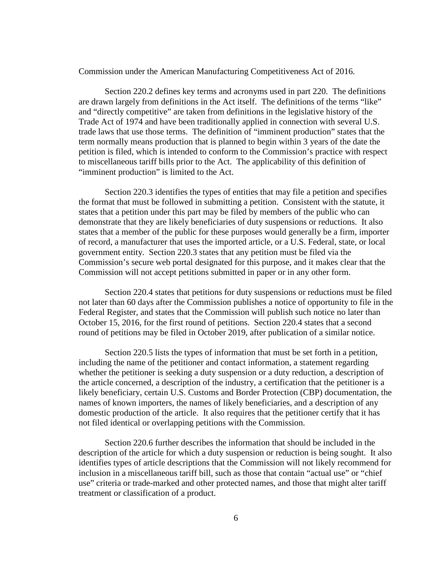Commission under the American Manufacturing Competitiveness Act of 2016.

Section 220.2 defines key terms and acronyms used in part 220. The definitions are drawn largely from definitions in the Act itself. The definitions of the terms "like" and "directly competitive" are taken from definitions in the legislative history of the Trade Act of 1974 and have been traditionally applied in connection with several U.S. trade laws that use those terms. The definition of "imminent production" states that the term normally means production that is planned to begin within 3 years of the date the petition is filed, which is intended to conform to the Commission's practice with respect to miscellaneous tariff bills prior to the Act. The applicability of this definition of "imminent production" is limited to the Act.

Section 220.3 identifies the types of entities that may file a petition and specifies the format that must be followed in submitting a petition. Consistent with the statute, it states that a petition under this part may be filed by members of the public who can demonstrate that they are likely beneficiaries of duty suspensions or reductions. It also states that a member of the public for these purposes would generally be a firm, importer of record, a manufacturer that uses the imported article, or a U.S. Federal, state, or local government entity. Section 220.3 states that any petition must be filed via the Commission's secure web portal designated for this purpose, and it makes clear that the Commission will not accept petitions submitted in paper or in any other form.

Section 220.4 states that petitions for duty suspensions or reductions must be filed not later than 60 days after the Commission publishes a notice of opportunity to file in the Federal Register, and states that the Commission will publish such notice no later than October 15, 2016, for the first round of petitions. Section 220.4 states that a second round of petitions may be filed in October 2019, after publication of a similar notice.

Section 220.5 lists the types of information that must be set forth in a petition, including the name of the petitioner and contact information, a statement regarding whether the petitioner is seeking a duty suspension or a duty reduction, a description of the article concerned, a description of the industry, a certification that the petitioner is a likely beneficiary, certain U.S. Customs and Border Protection (CBP) documentation, the names of known importers, the names of likely beneficiaries, and a description of any domestic production of the article. It also requires that the petitioner certify that it has not filed identical or overlapping petitions with the Commission.

Section 220.6 further describes the information that should be included in the description of the article for which a duty suspension or reduction is being sought. It also identifies types of article descriptions that the Commission will not likely recommend for inclusion in a miscellaneous tariff bill, such as those that contain "actual use" or "chief use" criteria or trade-marked and other protected names, and those that might alter tariff treatment or classification of a product.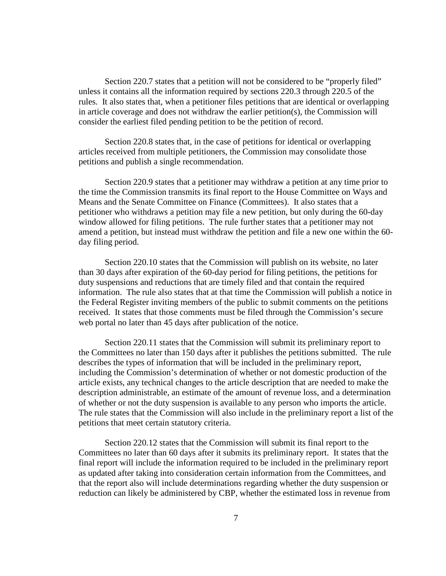Section 220.7 states that a petition will not be considered to be "properly filed" unless it contains all the information required by sections 220.3 through 220.5 of the rules. It also states that, when a petitioner files petitions that are identical or overlapping in article coverage and does not withdraw the earlier petition(s), the Commission will consider the earliest filed pending petition to be the petition of record.

Section 220.8 states that, in the case of petitions for identical or overlapping articles received from multiple petitioners, the Commission may consolidate those petitions and publish a single recommendation.

Section 220.9 states that a petitioner may withdraw a petition at any time prior to the time the Commission transmits its final report to the House Committee on Ways and Means and the Senate Committee on Finance (Committees). It also states that a petitioner who withdraws a petition may file a new petition, but only during the 60-day window allowed for filing petitions. The rule further states that a petitioner may not amend a petition, but instead must withdraw the petition and file a new one within the 60 day filing period.

Section 220.10 states that the Commission will publish on its website, no later than 30 days after expiration of the 60-day period for filing petitions, the petitions for duty suspensions and reductions that are timely filed and that contain the required information. The rule also states that at that time the Commission will publish a notice in the Federal Register inviting members of the public to submit comments on the petitions received. It states that those comments must be filed through the Commission's secure web portal no later than 45 days after publication of the notice.

Section 220.11 states that the Commission will submit its preliminary report to the Committees no later than 150 days after it publishes the petitions submitted. The rule describes the types of information that will be included in the preliminary report, including the Commission's determination of whether or not domestic production of the article exists, any technical changes to the article description that are needed to make the description administrable, an estimate of the amount of revenue loss, and a determination of whether or not the duty suspension is available to any person who imports the article. The rule states that the Commission will also include in the preliminary report a list of the petitions that meet certain statutory criteria.

Section 220.12 states that the Commission will submit its final report to the Committees no later than 60 days after it submits its preliminary report. It states that the final report will include the information required to be included in the preliminary report as updated after taking into consideration certain information from the Committees, and that the report also will include determinations regarding whether the duty suspension or reduction can likely be administered by CBP, whether the estimated loss in revenue from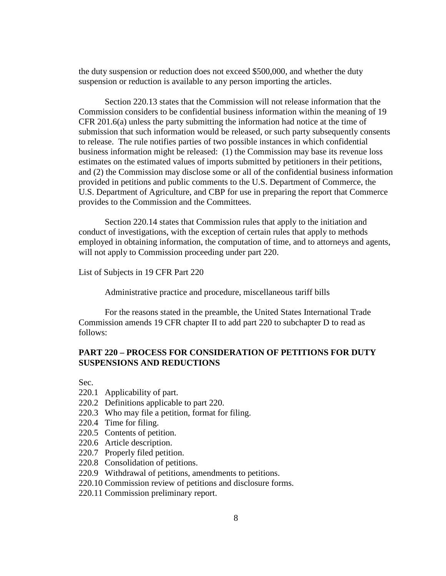the duty suspension or reduction does not exceed \$500,000, and whether the duty suspension or reduction is available to any person importing the articles.

Section 220.13 states that the Commission will not release information that the Commission considers to be confidential business information within the meaning of 19 CFR 201.6(a) unless the party submitting the information had notice at the time of submission that such information would be released, or such party subsequently consents to release. The rule notifies parties of two possible instances in which confidential business information might be released: (1) the Commission may base its revenue loss estimates on the estimated values of imports submitted by petitioners in their petitions, and (2) the Commission may disclose some or all of the confidential business information provided in petitions and public comments to the U.S. Department of Commerce, the U.S. Department of Agriculture, and CBP for use in preparing the report that Commerce provides to the Commission and the Committees.

Section 220.14 states that Commission rules that apply to the initiation and conduct of investigations, with the exception of certain rules that apply to methods employed in obtaining information, the computation of time, and to attorneys and agents, will not apply to Commission proceeding under part 220.

List of Subjects in 19 CFR Part 220

Administrative practice and procedure, miscellaneous tariff bills

For the reasons stated in the preamble, the United States International Trade Commission amends 19 CFR chapter II to add part 220 to subchapter D to read as follows:

# **PART 220 – PROCESS FOR CONSIDERATION OF PETITIONS FOR DUTY SUSPENSIONS AND REDUCTIONS**

Sec.

- 220.1 Applicability of part.
- 220.2 Definitions applicable to part 220.
- 220.3 Who may file a petition, format for filing.
- 220.4 Time for filing.
- 220.5 Contents of petition.
- 220.6 Article description.
- 220.7 Properly filed petition.
- 220.8 Consolidation of petitions.
- 220.9 Withdrawal of petitions, amendments to petitions.
- 220.10 Commission review of petitions and disclosure forms.
- 220.11 Commission preliminary report.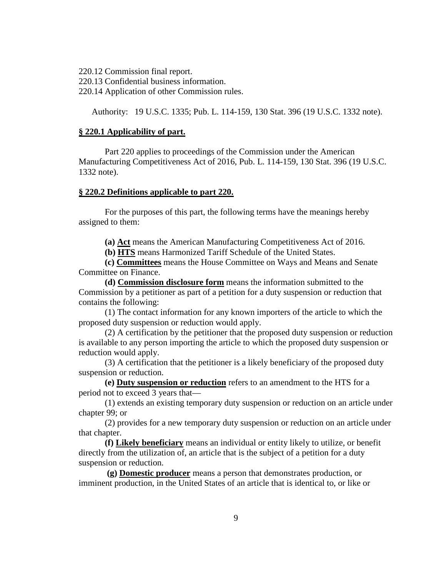220.12 Commission final report.

220.13 Confidential business information.

220.14 Application of other Commission rules.

Authority: 19 U.S.C. 1335; Pub. L. 114-159, 130 Stat. 396 (19 U.S.C. 1332 note).

# **§ 220.1 Applicability of part.**

Part 220 applies to proceedings of the Commission under the American Manufacturing Competitiveness Act of 2016, Pub. L. 114-159, 130 Stat. 396 (19 U.S.C. 1332 note).

# **§ 220.2 Definitions applicable to part 220.**

For the purposes of this part, the following terms have the meanings hereby assigned to them:

**(a) Act** means the American Manufacturing Competitiveness Act of 2016.

**(b) HTS** means Harmonized Tariff Schedule of the United States.

**(c) Committees** means the House Committee on Ways and Means and Senate Committee on Finance.

**(d) Commission disclosure form** means the information submitted to the Commission by a petitioner as part of a petition for a duty suspension or reduction that contains the following:

(1) The contact information for any known importers of the article to which the proposed duty suspension or reduction would apply.

(2) A certification by the petitioner that the proposed duty suspension or reduction is available to any person importing the article to which the proposed duty suspension or reduction would apply.

(3) A certification that the petitioner is a likely beneficiary of the proposed duty suspension or reduction.

**(e) Duty suspension or reduction** refers to an amendment to the HTS for a period not to exceed 3 years that—

(1) extends an existing temporary duty suspension or reduction on an article under chapter 99; or

(2) provides for a new temporary duty suspension or reduction on an article under that chapter.

**(f) Likely beneficiary** means an individual or entity likely to utilize, or benefit directly from the utilization of, an article that is the subject of a petition for a duty suspension or reduction.

**(g) Domestic producer** means a person that demonstrates production, or imminent production, in the United States of an article that is identical to, or like or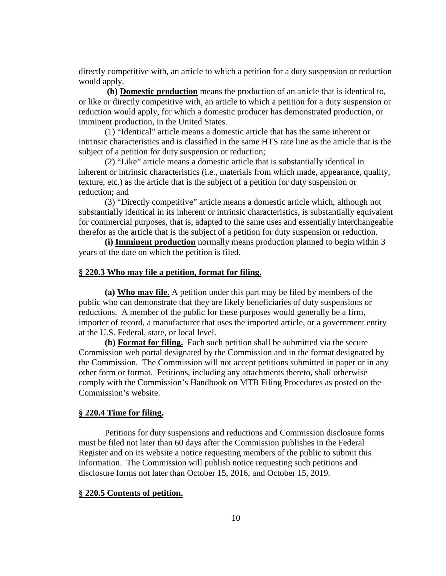directly competitive with, an article to which a petition for a duty suspension or reduction would apply.

**(h) Domestic production** means the production of an article that is identical to, or like or directly competitive with, an article to which a petition for a duty suspension or reduction would apply, for which a domestic producer has demonstrated production, or imminent production, in the United States.

(1) "Identical" article means a domestic article that has the same inherent or intrinsic characteristics and is classified in the same HTS rate line as the article that is the subject of a petition for duty suspension or reduction;

(2) "Like" article means a domestic article that is substantially identical in inherent or intrinsic characteristics (i.e., materials from which made, appearance, quality, texture, etc.) as the article that is the subject of a petition for duty suspension or reduction; and

(3) "Directly competitive" article means a domestic article which, although not substantially identical in its inherent or intrinsic characteristics, is substantially equivalent for commercial purposes, that is, adapted to the same uses and essentially interchangeable therefor as the article that is the subject of a petition for duty suspension or reduction.

**(i) Imminent production** normally means production planned to begin within 3 years of the date on which the petition is filed.

### **§ 220.3 Who may file a petition, format for filing.**

**(a) Who may file.** A petition under this part may be filed by members of the public who can demonstrate that they are likely beneficiaries of duty suspensions or reductions. A member of the public for these purposes would generally be a firm, importer of record, a manufacturer that uses the imported article, or a government entity at the U.S. Federal, state, or local level.

**(b) Format for filing.** Each such petition shall be submitted via the secure Commission web portal designated by the Commission and in the format designated by the Commission. The Commission will not accept petitions submitted in paper or in any other form or format. Petitions, including any attachments thereto, shall otherwise comply with the Commission's Handbook on MTB Filing Procedures as posted on the Commission's website.

#### **§ 220.4 Time for filing.**

Petitions for duty suspensions and reductions and Commission disclosure forms must be filed not later than 60 days after the Commission publishes in the Federal Register and on its website a notice requesting members of the public to submit this information. The Commission will publish notice requesting such petitions and disclosure forms not later than October 15, 2016, and October 15, 2019.

### **§ 220.5 Contents of petition.**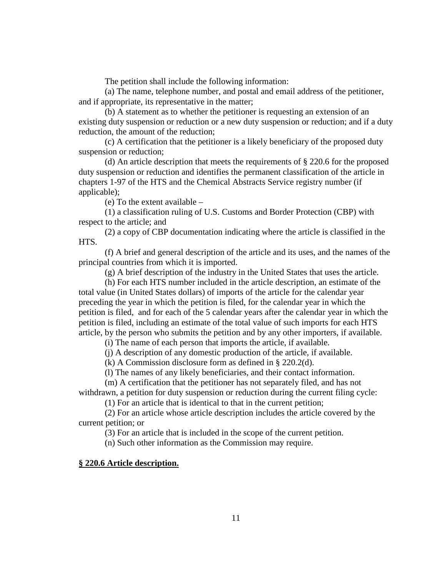The petition shall include the following information:

(a) The name, telephone number, and postal and email address of the petitioner, and if appropriate, its representative in the matter;

(b) A statement as to whether the petitioner is requesting an extension of an existing duty suspension or reduction or a new duty suspension or reduction; and if a duty reduction, the amount of the reduction;

(c) A certification that the petitioner is a likely beneficiary of the proposed duty suspension or reduction;

(d) An article description that meets the requirements of § 220.6 for the proposed duty suspension or reduction and identifies the permanent classification of the article in chapters 1-97 of the HTS and the Chemical Abstracts Service registry number (if applicable);

(e) To the extent available –

(1) a classification ruling of U.S. Customs and Border Protection (CBP) with respect to the article; and

(2) a copy of CBP documentation indicating where the article is classified in the HTS.

(f) A brief and general description of the article and its uses, and the names of the principal countries from which it is imported.

(g) A brief description of the industry in the United States that uses the article.

(h) For each HTS number included in the article description, an estimate of the total value (in United States dollars) of imports of the article for the calendar year preceding the year in which the petition is filed, for the calendar year in which the petition is filed, and for each of the 5 calendar years after the calendar year in which the petition is filed, including an estimate of the total value of such imports for each HTS article, by the person who submits the petition and by any other importers, if available.

(i) The name of each person that imports the article, if available.

(j) A description of any domestic production of the article, if available.

(k) A Commission disclosure form as defined in § 220.2(d).

(l) The names of any likely beneficiaries, and their contact information.

(m) A certification that the petitioner has not separately filed, and has not withdrawn, a petition for duty suspension or reduction during the current filing cycle:

(1) For an article that is identical to that in the current petition;

(2) For an article whose article description includes the article covered by the current petition; or

(3) For an article that is included in the scope of the current petition.

(n) Such other information as the Commission may require.

### **§ 220.6 Article description.**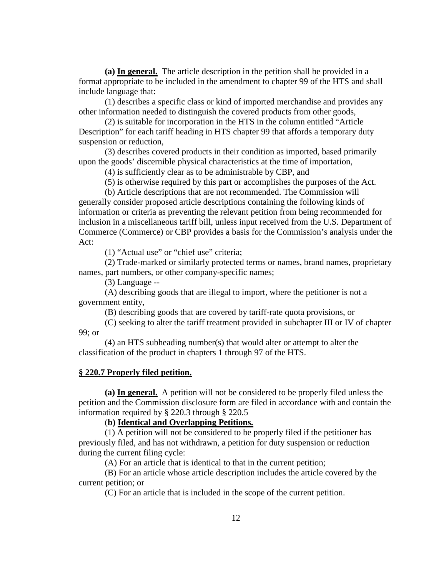**(a) In general.** The article description in the petition shall be provided in a format appropriate to be included in the amendment to chapter 99 of the HTS and shall include language that:

(1) describes a specific class or kind of imported merchandise and provides any other information needed to distinguish the covered products from other goods,

(2) is suitable for incorporation in the HTS in the column entitled "Article Description" for each tariff heading in HTS chapter 99 that affords a temporary duty suspension or reduction,

(3) describes covered products in their condition as imported, based primarily upon the goods' discernible physical characteristics at the time of importation,

(4) is sufficiently clear as to be administrable by CBP, and

(5) is otherwise required by this part or accomplishes the purposes of the Act.

(b) Article descriptions that are not recommended. The Commission will generally consider proposed article descriptions containing the following kinds of information or criteria as preventing the relevant petition from being recommended for inclusion in a miscellaneous tariff bill, unless input received from the U.S. Department of Commerce (Commerce) or CBP provides a basis for the Commission's analysis under the Act:

(1) "Actual use" or "chief use" criteria;

(2) Trade-marked or similarly protected terms or names, brand names, proprietary names, part numbers, or other company-specific names;

(3) Language --

(A) describing goods that are illegal to import, where the petitioner is not a government entity,

(B) describing goods that are covered by tariff-rate quota provisions, or

(C) seeking to alter the tariff treatment provided in subchapter III or IV of chapter 99; or

(4) an HTS subheading number(s) that would alter or attempt to alter the classification of the product in chapters 1 through 97 of the HTS.

### **§ 220.7 Properly filed petition.**

**(a) In general.** A petition will not be considered to be properly filed unless the petition and the Commission disclosure form are filed in accordance with and contain the information required by § 220.3 through § 220.5

# (**b) Identical and Overlapping Petitions.**

(1) A petition will not be considered to be properly filed if the petitioner has previously filed, and has not withdrawn, a petition for duty suspension or reduction during the current filing cycle:

(A) For an article that is identical to that in the current petition;

(B) For an article whose article description includes the article covered by the current petition; or

(C) For an article that is included in the scope of the current petition.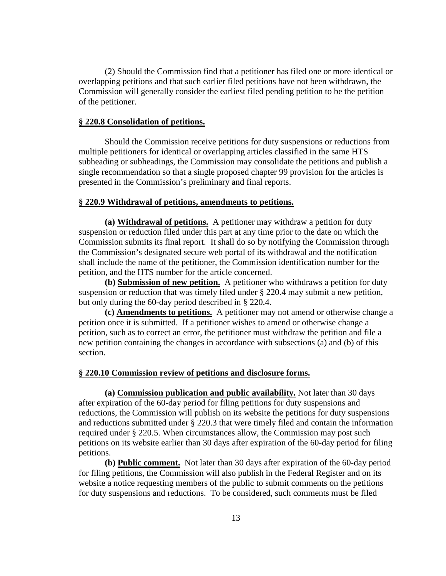(2) Should the Commission find that a petitioner has filed one or more identical or overlapping petitions and that such earlier filed petitions have not been withdrawn, the Commission will generally consider the earliest filed pending petition to be the petition of the petitioner.

# **§ 220.8 Consolidation of petitions.**

Should the Commission receive petitions for duty suspensions or reductions from multiple petitioners for identical or overlapping articles classified in the same HTS subheading or subheadings, the Commission may consolidate the petitions and publish a single recommendation so that a single proposed chapter 99 provision for the articles is presented in the Commission's preliminary and final reports.

# **§ 220.9 Withdrawal of petitions, amendments to petitions.**

**(a) Withdrawal of petitions.** A petitioner may withdraw a petition for duty suspension or reduction filed under this part at any time prior to the date on which the Commission submits its final report. It shall do so by notifying the Commission through the Commission's designated secure web portal of its withdrawal and the notification shall include the name of the petitioner, the Commission identification number for the petition, and the HTS number for the article concerned.

**(b) Submission of new petition.** A petitioner who withdraws a petition for duty suspension or reduction that was timely filed under § 220.4 may submit a new petition, but only during the 60-day period described in § 220.4.

**(c) Amendments to petitions.** A petitioner may not amend or otherwise change a petition once it is submitted. If a petitioner wishes to amend or otherwise change a petition, such as to correct an error, the petitioner must withdraw the petition and file a new petition containing the changes in accordance with subsections (a) and (b) of this section.

### **§ 220.10 Commission review of petitions and disclosure forms.**

**(a) Commission publication and public availability.** Not later than 30 days after expiration of the 60-day period for filing petitions for duty suspensions and reductions, the Commission will publish on its website the petitions for duty suspensions and reductions submitted under § 220.3 that were timely filed and contain the information required under § 220.5. When circumstances allow, the Commission may post such petitions on its website earlier than 30 days after expiration of the 60-day period for filing petitions.

**(b) Public comment.** Not later than 30 days after expiration of the 60-day period for filing petitions, the Commission will also publish in the Federal Register and on its website a notice requesting members of the public to submit comments on the petitions for duty suspensions and reductions. To be considered, such comments must be filed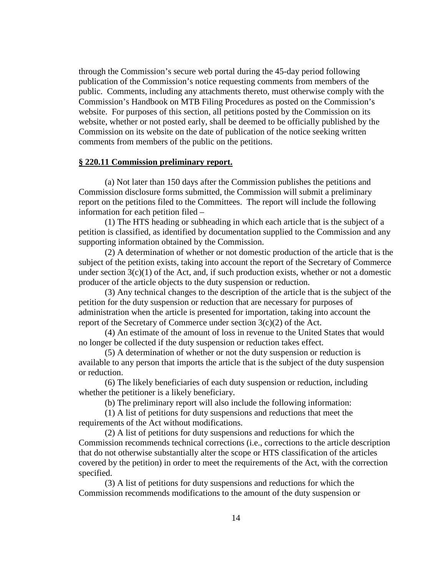through the Commission's secure web portal during the 45-day period following publication of the Commission's notice requesting comments from members of the public. Comments, including any attachments thereto, must otherwise comply with the Commission's Handbook on MTB Filing Procedures as posted on the Commission's website. For purposes of this section, all petitions posted by the Commission on its website, whether or not posted early, shall be deemed to be officially published by the Commission on its website on the date of publication of the notice seeking written comments from members of the public on the petitions.

### **§ 220.11 Commission preliminary report.**

(a) Not later than 150 days after the Commission publishes the petitions and Commission disclosure forms submitted, the Commission will submit a preliminary report on the petitions filed to the Committees. The report will include the following information for each petition filed –

(1) The HTS heading or subheading in which each article that is the subject of a petition is classified, as identified by documentation supplied to the Commission and any supporting information obtained by the Commission.

(2) A determination of whether or not domestic production of the article that is the subject of the petition exists, taking into account the report of the Secretary of Commerce under section 3(c)(1) of the Act, and, if such production exists, whether or not a domestic producer of the article objects to the duty suspension or reduction.

(3) Any technical changes to the description of the article that is the subject of the petition for the duty suspension or reduction that are necessary for purposes of administration when the article is presented for importation, taking into account the report of the Secretary of Commerce under section  $3(c)(2)$  of the Act.

(4) An estimate of the amount of loss in revenue to the United States that would no longer be collected if the duty suspension or reduction takes effect.

(5) A determination of whether or not the duty suspension or reduction is available to any person that imports the article that is the subject of the duty suspension or reduction.

(6) The likely beneficiaries of each duty suspension or reduction, including whether the petitioner is a likely beneficiary.

(b) The preliminary report will also include the following information:

(1) A list of petitions for duty suspensions and reductions that meet the requirements of the Act without modifications.

(2) A list of petitions for duty suspensions and reductions for which the Commission recommends technical corrections (i.e., corrections to the article description that do not otherwise substantially alter the scope or HTS classification of the articles covered by the petition) in order to meet the requirements of the Act, with the correction specified.

(3) A list of petitions for duty suspensions and reductions for which the Commission recommends modifications to the amount of the duty suspension or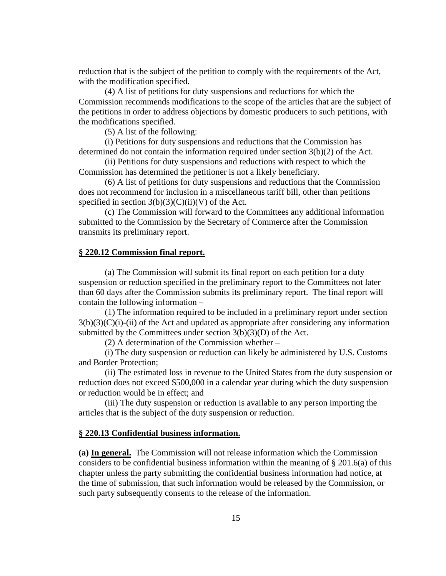reduction that is the subject of the petition to comply with the requirements of the Act, with the modification specified.

(4) A list of petitions for duty suspensions and reductions for which the Commission recommends modifications to the scope of the articles that are the subject of the petitions in order to address objections by domestic producers to such petitions, with the modifications specified.

(5) A list of the following:

(i) Petitions for duty suspensions and reductions that the Commission has determined do not contain the information required under section 3(b)(2) of the Act.

(ii) Petitions for duty suspensions and reductions with respect to which the Commission has determined the petitioner is not a likely beneficiary.

(6) A list of petitions for duty suspensions and reductions that the Commission does not recommend for inclusion in a miscellaneous tariff bill, other than petitions specified in section  $3(b)(3)(C)(ii)(V)$  of the Act.

(c) The Commission will forward to the Committees any additional information submitted to the Commission by the Secretary of Commerce after the Commission transmits its preliminary report.

## **§ 220.12 Commission final report.**

(a) The Commission will submit its final report on each petition for a duty suspension or reduction specified in the preliminary report to the Committees not later than 60 days after the Commission submits its preliminary report. The final report will contain the following information –

(1) The information required to be included in a preliminary report under section  $3(b)(3)(C)(i)$ -(ii) of the Act and updated as appropriate after considering any information submitted by the Committees under section  $3(b)(3)(D)$  of the Act.

(2) A determination of the Commission whether –

(i) The duty suspension or reduction can likely be administered by U.S. Customs and Border Protection;

(ii) The estimated loss in revenue to the United States from the duty suspension or reduction does not exceed \$500,000 in a calendar year during which the duty suspension or reduction would be in effect; and

(iii) The duty suspension or reduction is available to any person importing the articles that is the subject of the duty suspension or reduction.

### **§ 220.13 Confidential business information.**

**(a) In general.** The Commission will not release information which the Commission considers to be confidential business information within the meaning of  $\S 201.6(a)$  of this chapter unless the party submitting the confidential business information had notice, at the time of submission, that such information would be released by the Commission, or such party subsequently consents to the release of the information.